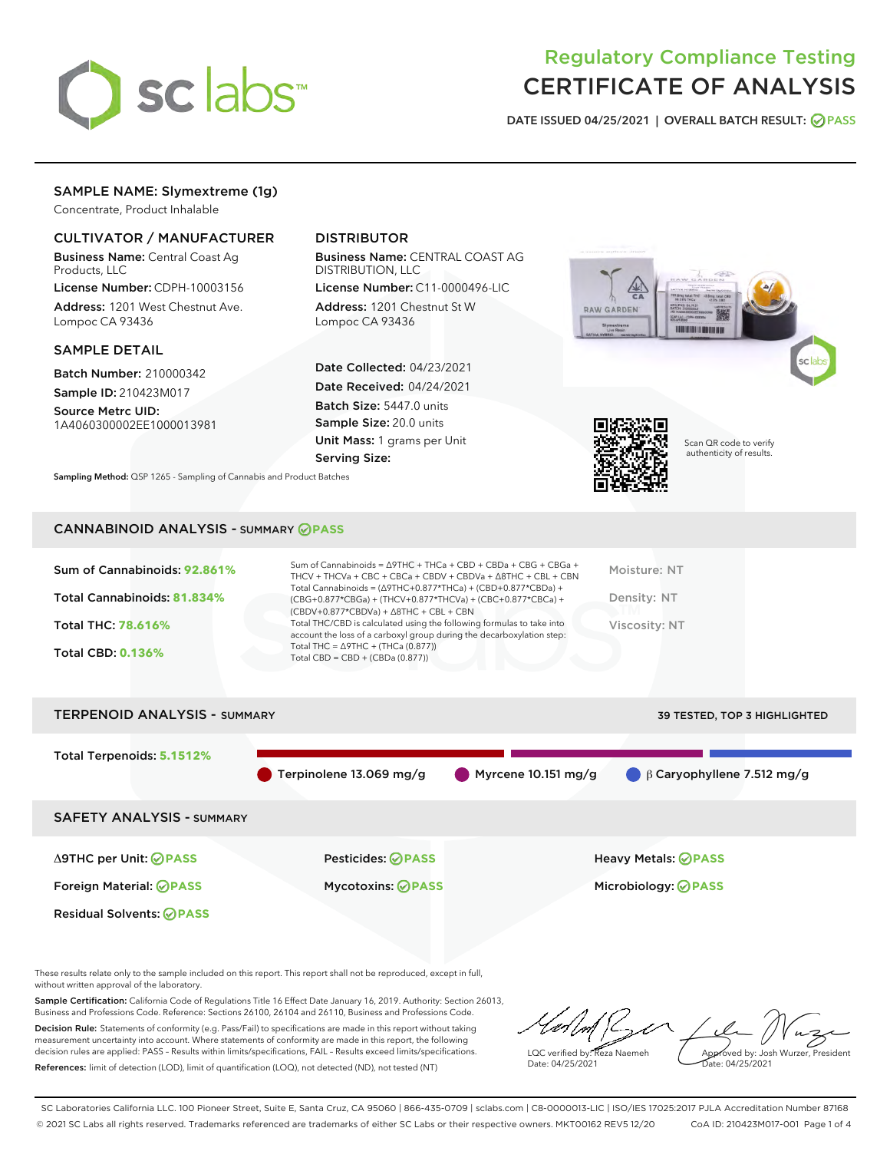

## Regulatory Compliance Testing CERTIFICATE OF ANALYSIS

DATE ISSUED 04/25/2021 | OVERALL BATCH RESULT: @ PASS

## SAMPLE NAME: Slymextreme (1g)

Concentrate, Product Inhalable

## CULTIVATOR / MANUFACTURER

Business Name: Central Coast Ag Products, LLC

License Number: CDPH-10003156 Address: 1201 West Chestnut Ave. Lompoc CA 93436

#### SAMPLE DETAIL

Batch Number: 210000342 Sample ID: 210423M017

Source Metrc UID: 1A4060300002EE1000013981

## DISTRIBUTOR

Business Name: CENTRAL COAST AG DISTRIBUTION, LLC

License Number: C11-0000496-LIC Address: 1201 Chestnut St W Lompoc CA 93436

Date Collected: 04/23/2021 Date Received: 04/24/2021 Batch Size: 5447.0 units Sample Size: 20.0 units Unit Mass: 1 grams per Unit Serving Size:





Scan QR code to verify authenticity of results.

Sampling Method: QSP 1265 - Sampling of Cannabis and Product Batches

#### CANNABINOID ANALYSIS - SUMMARY **PASS**

| Total Cannabinoids = $(\Delta$ 9THC+0.877*THCa) + (CBD+0.877*CBDa) +<br>Total Cannabinoids: 81.834%<br>Density: NT<br>(CBG+0.877*CBGa) + (THCV+0.877*THCVa) + (CBC+0.877*CBCa) +<br>$(CBDV+0.877*CBDVa) + \Delta 8THC + CBL + CBN$<br>Total THC/CBD is calculated using the following formulas to take into<br><b>Total THC: 78.616%</b><br>Viscosity: NT<br>account the loss of a carboxyl group during the decarboxylation step:<br>Total THC = $\triangle$ 9THC + (THCa (0.877))<br><b>Total CBD: 0.136%</b><br>Total CBD = CBD + (CBDa $(0.877)$ ) | Sum of Cannabinoids: 92.861% | Sum of Cannabinoids = $\triangle$ 9THC + THCa + CBD + CBDa + CBG + CBGa +<br>THCV + THCVa + CBC + CBCa + CBDV + CBDVa + $\triangle$ 8THC + CBL + CBN | Moisture: NT |
|--------------------------------------------------------------------------------------------------------------------------------------------------------------------------------------------------------------------------------------------------------------------------------------------------------------------------------------------------------------------------------------------------------------------------------------------------------------------------------------------------------------------------------------------------------|------------------------------|------------------------------------------------------------------------------------------------------------------------------------------------------|--------------|
|                                                                                                                                                                                                                                                                                                                                                                                                                                                                                                                                                        |                              |                                                                                                                                                      |              |
|                                                                                                                                                                                                                                                                                                                                                                                                                                                                                                                                                        |                              |                                                                                                                                                      |              |
|                                                                                                                                                                                                                                                                                                                                                                                                                                                                                                                                                        |                              |                                                                                                                                                      |              |

# TERPENOID ANALYSIS - SUMMARY 39 TESTED, TOP 3 HIGHLIGHTED Total Terpenoids: **5.1512%** Terpinolene 13.069 mg/g Myrcene 10.151 mg/g β Caryophyllene 7.512 mg/g SAFETY ANALYSIS - SUMMARY Δ9THC per Unit: **PASS** Pesticides: **PASS** Heavy Metals: **PASS** Foreign Material: **PASS** Mycotoxins: **PASS** Microbiology: **PASS** Residual Solvents: **OPASS**

These results relate only to the sample included on this report. This report shall not be reproduced, except in full, without written approval of the laboratory.

Sample Certification: California Code of Regulations Title 16 Effect Date January 16, 2019. Authority: Section 26013, Business and Professions Code. Reference: Sections 26100, 26104 and 26110, Business and Professions Code.

Decision Rule: Statements of conformity (e.g. Pass/Fail) to specifications are made in this report without taking measurement uncertainty into account. Where statements of conformity are made in this report, the following decision rules are applied: PASS – Results within limits/specifications, FAIL – Results exceed limits/specifications. References: limit of detection (LOD), limit of quantification (LOQ), not detected (ND), not tested (NT)

LQC verified by: Reza Naemeh Date: 04/25/2021 Approved by: Josh Wurzer, President Date: 04/25/2021

SC Laboratories California LLC. 100 Pioneer Street, Suite E, Santa Cruz, CA 95060 | 866-435-0709 | sclabs.com | C8-0000013-LIC | ISO/IES 17025:2017 PJLA Accreditation Number 87168 © 2021 SC Labs all rights reserved. Trademarks referenced are trademarks of either SC Labs or their respective owners. MKT00162 REV5 12/20 CoA ID: 210423M017-001 Page 1 of 4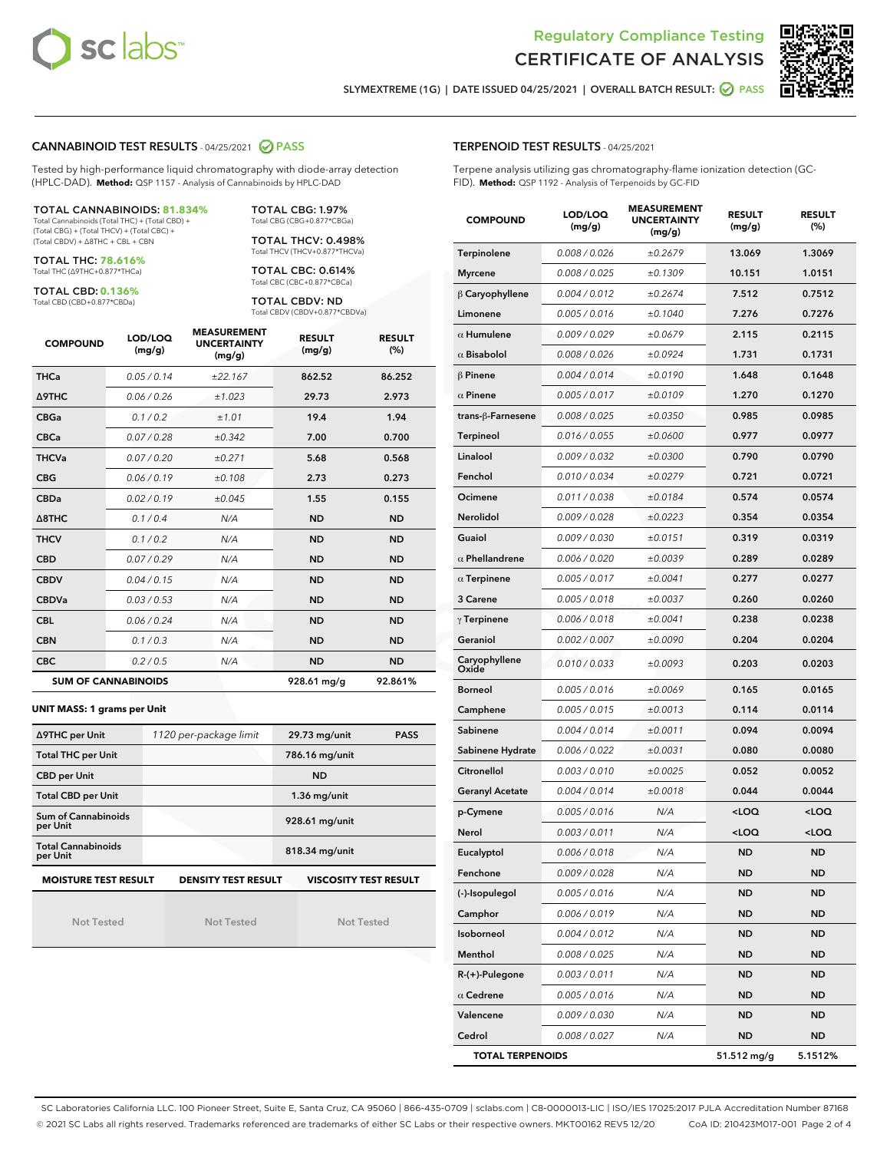



SLYMEXTREME (1G) | DATE ISSUED 04/25/2021 | OVERALL BATCH RESULT: @ PASS

#### CANNABINOID TEST RESULTS - 04/25/2021 2 PASS

Tested by high-performance liquid chromatography with diode-array detection (HPLC-DAD). **Method:** QSP 1157 - Analysis of Cannabinoids by HPLC-DAD

#### TOTAL CANNABINOIDS: **81.834%**

Total Cannabinoids (Total THC) + (Total CBD) + (Total CBG) + (Total THCV) + (Total CBC) + (Total CBDV) + ∆8THC + CBL + CBN

TOTAL THC: **78.616%** Total THC (∆9THC+0.877\*THCa)

TOTAL CBD: **0.136%**

Total CBD (CBD+0.877\*CBDa)

TOTAL CBG: 1.97% Total CBG (CBG+0.877\*CBGa)

TOTAL THCV: 0.498% Total THCV (THCV+0.877\*THCVa)

TOTAL CBC: 0.614% Total CBC (CBC+0.877\*CBCa)

TOTAL CBDV: ND Total CBDV (CBDV+0.877\*CBDVa)

| <b>COMPOUND</b>            | LOD/LOQ<br>(mg/g) | <b>MEASUREMENT</b><br><b>UNCERTAINTY</b><br>(mg/g) | <b>RESULT</b><br>(mg/g) | <b>RESULT</b><br>(%) |
|----------------------------|-------------------|----------------------------------------------------|-------------------------|----------------------|
| <b>THCa</b>                | 0.05/0.14         | ±22.167                                            | 862.52                  | 86.252               |
| <b>A9THC</b>               | 0.06 / 0.26       | ±1.023                                             | 29.73                   | 2.973                |
| <b>CBGa</b>                | 0.1/0.2           | ±1.01                                              | 19.4                    | 1.94                 |
| <b>CBCa</b>                | 0.07/0.28         | ±0.342                                             | 7.00                    | 0.700                |
| <b>THCVa</b>               | 0.07/0.20         | ±0.271                                             | 5.68                    | 0.568                |
| <b>CBG</b>                 | 0.06 / 0.19       | ±0.108                                             | 2.73                    | 0.273                |
| <b>CBDa</b>                | 0.02 / 0.19       | ±0.045                                             | 1.55                    | 0.155                |
| $\triangle$ 8THC           | 0.1/0.4           | N/A                                                | <b>ND</b>               | <b>ND</b>            |
| <b>THCV</b>                | 0.1 / 0.2         | N/A                                                | <b>ND</b>               | <b>ND</b>            |
| <b>CBD</b>                 | 0.07/0.29         | N/A                                                | <b>ND</b>               | <b>ND</b>            |
| <b>CBDV</b>                | 0.04 / 0.15       | N/A                                                | <b>ND</b>               | <b>ND</b>            |
| <b>CBDVa</b>               | 0.03 / 0.53       | N/A                                                | <b>ND</b>               | <b>ND</b>            |
| <b>CBL</b>                 | 0.06 / 0.24       | N/A                                                | <b>ND</b>               | <b>ND</b>            |
| <b>CBN</b>                 | 0.1/0.3           | N/A                                                | <b>ND</b>               | <b>ND</b>            |
| <b>CBC</b>                 | 0.2 / 0.5         | N/A                                                | <b>ND</b>               | <b>ND</b>            |
| <b>SUM OF CANNABINOIDS</b> |                   |                                                    | 928.61 mg/g             | 92.861%              |

#### **UNIT MASS: 1 grams per Unit**

| ∆9THC per Unit                        | 1120 per-package limit     | 29.73 mg/unit<br><b>PASS</b> |
|---------------------------------------|----------------------------|------------------------------|
| <b>Total THC per Unit</b>             |                            | 786.16 mg/unit               |
| <b>CBD per Unit</b>                   |                            | <b>ND</b>                    |
| <b>Total CBD per Unit</b>             |                            | $1.36$ mg/unit               |
| Sum of Cannabinoids<br>per Unit       |                            | 928.61 mg/unit               |
| <b>Total Cannabinoids</b><br>per Unit |                            | 818.34 mg/unit               |
| <b>MOISTURE TEST RESULT</b>           | <b>DENSITY TEST RESULT</b> | <b>VISCOSITY TEST RESULT</b> |

Not Tested

Not Tested

Not Tested

#### TERPENOID TEST RESULTS - 04/25/2021

Terpene analysis utilizing gas chromatography-flame ionization detection (GC-FID). **Method:** QSP 1192 - Analysis of Terpenoids by GC-FID

| <b>COMPOUND</b>         | LOD/LOQ<br>(mg/g) | <b>MEASUREMENT</b><br><b>UNCERTAINTY</b><br>(mg/g) | <b>RESULT</b><br>(mg/g)                         | <b>RESULT</b><br>(%) |
|-------------------------|-------------------|----------------------------------------------------|-------------------------------------------------|----------------------|
| Terpinolene             | 0.008 / 0.026     | ±0.2679                                            | 13.069                                          | 1.3069               |
| <b>Myrcene</b>          | 0.008 / 0.025     | ±0.1309                                            | 10.151                                          | 1.0151               |
| $\beta$ Caryophyllene   | 0.004 / 0.012     | ±0.2674                                            | 7.512                                           | 0.7512               |
| Limonene                | 0.005 / 0.016     | ±0.1040                                            | 7.276                                           | 0.7276               |
| $\alpha$ Humulene       | 0.009 / 0.029     | ±0.0679                                            | 2.115                                           | 0.2115               |
| $\alpha$ Bisabolol      | 0.008 / 0.026     | ±0.0924                                            | 1.731                                           | 0.1731               |
| $\beta$ Pinene          | 0.004 / 0.014     | ±0.0190                                            | 1.648                                           | 0.1648               |
| $\alpha$ Pinene         | 0.005 / 0.017     | ±0.0109                                            | 1.270                                           | 0.1270               |
| trans-ß-Farnesene       | 0.008 / 0.025     | ±0.0350                                            | 0.985                                           | 0.0985               |
| Terpineol               | 0.016 / 0.055     | ±0.0600                                            | 0.977                                           | 0.0977               |
| Linalool                | 0.009 / 0.032     | ±0.0300                                            | 0.790                                           | 0.0790               |
| Fenchol                 | 0.010 / 0.034     | ±0.0279                                            | 0.721                                           | 0.0721               |
| Ocimene                 | 0.011 / 0.038     | ±0.0184                                            | 0.574                                           | 0.0574               |
| Nerolidol               | 0.009 / 0.028     | ±0.0223                                            | 0.354                                           | 0.0354               |
| Guaiol                  | 0.009 / 0.030     | ±0.0151                                            | 0.319                                           | 0.0319               |
| $\alpha$ Phellandrene   | 0.006 / 0.020     | ±0.0039                                            | 0.289                                           | 0.0289               |
| $\alpha$ Terpinene      | 0.005 / 0.017     | ±0.0041                                            | 0.277                                           | 0.0277               |
| 3 Carene                | 0.005 / 0.018     | ±0.0037                                            | 0.260                                           | 0.0260               |
| $\gamma$ Terpinene      | 0.006 / 0.018     | ±0.0041                                            | 0.238                                           | 0.0238               |
| Geraniol                | 0.002 / 0.007     | ±0.0090                                            | 0.204                                           | 0.0204               |
| Caryophyllene<br>Oxide  | 0.010 / 0.033     | ±0.0093                                            | 0.203                                           | 0.0203               |
| <b>Borneol</b>          | 0.005 / 0.016     | ±0.0069                                            | 0.165                                           | 0.0165               |
| Camphene                | 0.005 / 0.015     | ±0.0013                                            | 0.114                                           | 0.0114               |
| Sabinene                | 0.004 / 0.014     | ±0.0011                                            | 0.094                                           | 0.0094               |
| Sabinene Hydrate        | 0.006 / 0.022     | ±0.0031                                            | 0.080                                           | 0.0080               |
| Citronellol             | 0.003 / 0.010     | ±0.0025                                            | 0.052                                           | 0.0052               |
| <b>Geranyl Acetate</b>  | 0.004 / 0.014     | ±0.0018                                            | 0.044                                           | 0.0044               |
| p-Cymene                | 0.005 / 0.016     | N/A                                                | <loq< th=""><th><loq< th=""></loq<></th></loq<> | <loq< th=""></loq<>  |
| Nerol                   | 0.003 / 0.011     | N/A                                                | <loq< th=""><th><loq< th=""></loq<></th></loq<> | <loq< th=""></loq<>  |
| Eucalyptol              | 0.006 / 0.018     | N/A                                                | <b>ND</b>                                       | <b>ND</b>            |
| Fenchone                | 0.009 / 0.028     | N/A                                                | ND                                              | ND                   |
| (-)-Isopulegol          | 0.005 / 0.016     | N/A                                                | ND                                              | <b>ND</b>            |
| Camphor                 | 0.006 / 0.019     | N/A                                                | ND                                              | <b>ND</b>            |
| Isoborneol              | 0.004 / 0.012     | N/A                                                | <b>ND</b>                                       | <b>ND</b>            |
| Menthol                 | 0.008 / 0.025     | N/A                                                | ND                                              | ND                   |
| R-(+)-Pulegone          | 0.003 / 0.011     | N/A                                                | ND                                              | ND                   |
| $\alpha$ Cedrene        | 0.005 / 0.016     | N/A                                                | <b>ND</b>                                       | <b>ND</b>            |
| Valencene               | 0.009 / 0.030     | N/A                                                | ND                                              | ND                   |
| Cedrol                  | 0.008 / 0.027     | N/A                                                | ND                                              | <b>ND</b>            |
| <b>TOTAL TERPENOIDS</b> |                   |                                                    | 51.512 mg/g                                     | 5.1512%              |

SC Laboratories California LLC. 100 Pioneer Street, Suite E, Santa Cruz, CA 95060 | 866-435-0709 | sclabs.com | C8-0000013-LIC | ISO/IES 17025:2017 PJLA Accreditation Number 87168 © 2021 SC Labs all rights reserved. Trademarks referenced are trademarks of either SC Labs or their respective owners. MKT00162 REV5 12/20 CoA ID: 210423M017-001 Page 2 of 4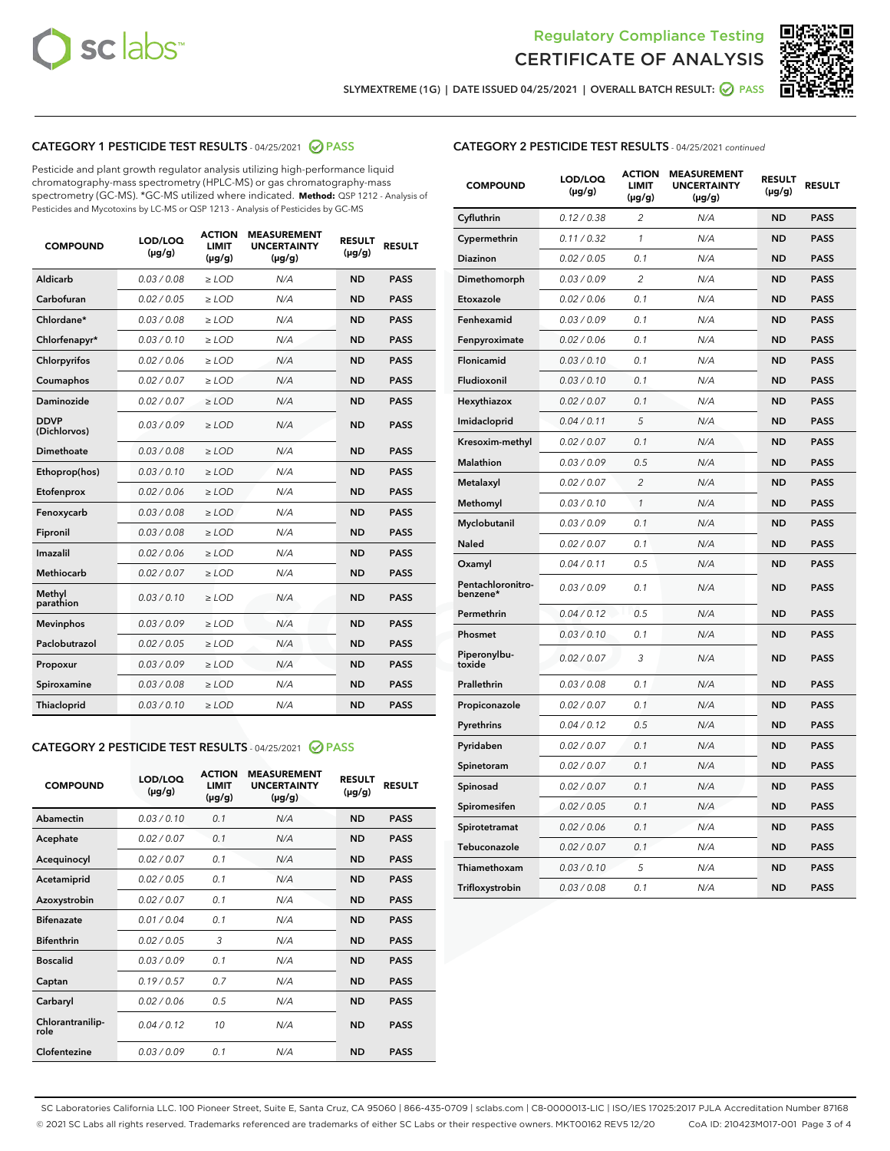



SLYMEXTREME (1G) | DATE ISSUED 04/25/2021 | OVERALL BATCH RESULT: @ PASS

## CATEGORY 1 PESTICIDE TEST RESULTS - 04/25/2021 2 PASS

Pesticide and plant growth regulator analysis utilizing high-performance liquid chromatography-mass spectrometry (HPLC-MS) or gas chromatography-mass spectrometry (GC-MS). \*GC-MS utilized where indicated. **Method:** QSP 1212 - Analysis of Pesticides and Mycotoxins by LC-MS or QSP 1213 - Analysis of Pesticides by GC-MS

| 0.03 / 0.08<br><b>ND</b><br><b>PASS</b><br>Aldicarb<br>$\ge$ LOD<br>N/A<br>Carbofuran<br><b>ND</b><br>0.02 / 0.05<br>$\ge$ LOD<br>N/A<br><b>PASS</b><br>Chlordane*<br>0.03 / 0.08<br>$\ge$ LOD<br>N/A<br><b>ND</b><br><b>PASS</b><br>Chlorfenapyr*<br>0.03/0.10<br>$\ge$ LOD<br>N/A<br><b>ND</b><br><b>PASS</b><br>Chlorpyrifos<br>0.02 / 0.06<br>N/A<br><b>ND</b><br><b>PASS</b><br>$\ge$ LOD<br>Coumaphos<br>0.02 / 0.07<br>N/A<br><b>ND</b><br><b>PASS</b><br>$\ge$ LOD<br>Daminozide<br>0.02 / 0.07<br>N/A<br><b>ND</b><br><b>PASS</b><br>$\ge$ LOD<br><b>DDVP</b><br>0.03/0.09<br>$>$ LOD<br>N/A<br><b>ND</b><br><b>PASS</b><br>(Dichlorvos)<br>Dimethoate<br>0.03 / 0.08<br>$\ge$ LOD<br><b>ND</b><br><b>PASS</b><br>N/A<br>0.03/0.10<br>N/A<br><b>ND</b><br><b>PASS</b><br>Ethoprop(hos)<br>$>$ LOD<br>N/A<br><b>ND</b><br><b>PASS</b><br>Etofenprox<br>0.02 / 0.06<br>$\ge$ LOD<br>Fenoxycarb<br>0.03 / 0.08<br>$\ge$ LOD<br>N/A<br><b>ND</b><br><b>PASS</b><br>0.03 / 0.08<br>$\ge$ LOD<br>N/A<br><b>ND</b><br><b>PASS</b><br>Fipronil<br>Imazalil<br>0.02 / 0.06<br>$\geq$ LOD<br>N/A<br><b>ND</b><br><b>PASS</b><br><b>Methiocarb</b><br>0.02 / 0.07<br>$\ge$ LOD<br>N/A<br><b>ND</b><br><b>PASS</b><br>Methyl<br>0.03/0.10<br>N/A<br><b>ND</b><br><b>PASS</b><br>$\ge$ LOD<br>parathion<br>0.03/0.09<br><b>Mevinphos</b><br>$\ge$ LOD<br>N/A<br><b>ND</b><br><b>PASS</b><br>Paclobutrazol<br>0.02 / 0.05<br>$>$ LOD<br>N/A<br><b>ND</b><br><b>PASS</b><br>0.03 / 0.09<br>N/A<br>$\ge$ LOD<br><b>ND</b><br><b>PASS</b><br>Propoxur<br>0.03 / 0.08<br><b>ND</b><br><b>PASS</b><br>Spiroxamine<br>$\ge$ LOD<br>N/A<br>Thiacloprid<br>0.03/0.10<br>$\ge$ LOD<br>N/A<br><b>ND</b><br><b>PASS</b> | <b>COMPOUND</b> | LOD/LOQ<br>$(\mu g/g)$ | <b>ACTION</b><br><b>LIMIT</b><br>$(\mu g/g)$ | <b>MEASUREMENT</b><br><b>UNCERTAINTY</b><br>$(\mu g/g)$ | <b>RESULT</b><br>$(\mu g/g)$ | <b>RESULT</b> |
|---------------------------------------------------------------------------------------------------------------------------------------------------------------------------------------------------------------------------------------------------------------------------------------------------------------------------------------------------------------------------------------------------------------------------------------------------------------------------------------------------------------------------------------------------------------------------------------------------------------------------------------------------------------------------------------------------------------------------------------------------------------------------------------------------------------------------------------------------------------------------------------------------------------------------------------------------------------------------------------------------------------------------------------------------------------------------------------------------------------------------------------------------------------------------------------------------------------------------------------------------------------------------------------------------------------------------------------------------------------------------------------------------------------------------------------------------------------------------------------------------------------------------------------------------------------------------------------------------------------------------------------------------------------------------------------------------------|-----------------|------------------------|----------------------------------------------|---------------------------------------------------------|------------------------------|---------------|
|                                                                                                                                                                                                                                                                                                                                                                                                                                                                                                                                                                                                                                                                                                                                                                                                                                                                                                                                                                                                                                                                                                                                                                                                                                                                                                                                                                                                                                                                                                                                                                                                                                                                                                         |                 |                        |                                              |                                                         |                              |               |
|                                                                                                                                                                                                                                                                                                                                                                                                                                                                                                                                                                                                                                                                                                                                                                                                                                                                                                                                                                                                                                                                                                                                                                                                                                                                                                                                                                                                                                                                                                                                                                                                                                                                                                         |                 |                        |                                              |                                                         |                              |               |
|                                                                                                                                                                                                                                                                                                                                                                                                                                                                                                                                                                                                                                                                                                                                                                                                                                                                                                                                                                                                                                                                                                                                                                                                                                                                                                                                                                                                                                                                                                                                                                                                                                                                                                         |                 |                        |                                              |                                                         |                              |               |
|                                                                                                                                                                                                                                                                                                                                                                                                                                                                                                                                                                                                                                                                                                                                                                                                                                                                                                                                                                                                                                                                                                                                                                                                                                                                                                                                                                                                                                                                                                                                                                                                                                                                                                         |                 |                        |                                              |                                                         |                              |               |
|                                                                                                                                                                                                                                                                                                                                                                                                                                                                                                                                                                                                                                                                                                                                                                                                                                                                                                                                                                                                                                                                                                                                                                                                                                                                                                                                                                                                                                                                                                                                                                                                                                                                                                         |                 |                        |                                              |                                                         |                              |               |
|                                                                                                                                                                                                                                                                                                                                                                                                                                                                                                                                                                                                                                                                                                                                                                                                                                                                                                                                                                                                                                                                                                                                                                                                                                                                                                                                                                                                                                                                                                                                                                                                                                                                                                         |                 |                        |                                              |                                                         |                              |               |
|                                                                                                                                                                                                                                                                                                                                                                                                                                                                                                                                                                                                                                                                                                                                                                                                                                                                                                                                                                                                                                                                                                                                                                                                                                                                                                                                                                                                                                                                                                                                                                                                                                                                                                         |                 |                        |                                              |                                                         |                              |               |
|                                                                                                                                                                                                                                                                                                                                                                                                                                                                                                                                                                                                                                                                                                                                                                                                                                                                                                                                                                                                                                                                                                                                                                                                                                                                                                                                                                                                                                                                                                                                                                                                                                                                                                         |                 |                        |                                              |                                                         |                              |               |
|                                                                                                                                                                                                                                                                                                                                                                                                                                                                                                                                                                                                                                                                                                                                                                                                                                                                                                                                                                                                                                                                                                                                                                                                                                                                                                                                                                                                                                                                                                                                                                                                                                                                                                         |                 |                        |                                              |                                                         |                              |               |
|                                                                                                                                                                                                                                                                                                                                                                                                                                                                                                                                                                                                                                                                                                                                                                                                                                                                                                                                                                                                                                                                                                                                                                                                                                                                                                                                                                                                                                                                                                                                                                                                                                                                                                         |                 |                        |                                              |                                                         |                              |               |
|                                                                                                                                                                                                                                                                                                                                                                                                                                                                                                                                                                                                                                                                                                                                                                                                                                                                                                                                                                                                                                                                                                                                                                                                                                                                                                                                                                                                                                                                                                                                                                                                                                                                                                         |                 |                        |                                              |                                                         |                              |               |
|                                                                                                                                                                                                                                                                                                                                                                                                                                                                                                                                                                                                                                                                                                                                                                                                                                                                                                                                                                                                                                                                                                                                                                                                                                                                                                                                                                                                                                                                                                                                                                                                                                                                                                         |                 |                        |                                              |                                                         |                              |               |
|                                                                                                                                                                                                                                                                                                                                                                                                                                                                                                                                                                                                                                                                                                                                                                                                                                                                                                                                                                                                                                                                                                                                                                                                                                                                                                                                                                                                                                                                                                                                                                                                                                                                                                         |                 |                        |                                              |                                                         |                              |               |
|                                                                                                                                                                                                                                                                                                                                                                                                                                                                                                                                                                                                                                                                                                                                                                                                                                                                                                                                                                                                                                                                                                                                                                                                                                                                                                                                                                                                                                                                                                                                                                                                                                                                                                         |                 |                        |                                              |                                                         |                              |               |
|                                                                                                                                                                                                                                                                                                                                                                                                                                                                                                                                                                                                                                                                                                                                                                                                                                                                                                                                                                                                                                                                                                                                                                                                                                                                                                                                                                                                                                                                                                                                                                                                                                                                                                         |                 |                        |                                              |                                                         |                              |               |
|                                                                                                                                                                                                                                                                                                                                                                                                                                                                                                                                                                                                                                                                                                                                                                                                                                                                                                                                                                                                                                                                                                                                                                                                                                                                                                                                                                                                                                                                                                                                                                                                                                                                                                         |                 |                        |                                              |                                                         |                              |               |
|                                                                                                                                                                                                                                                                                                                                                                                                                                                                                                                                                                                                                                                                                                                                                                                                                                                                                                                                                                                                                                                                                                                                                                                                                                                                                                                                                                                                                                                                                                                                                                                                                                                                                                         |                 |                        |                                              |                                                         |                              |               |
|                                                                                                                                                                                                                                                                                                                                                                                                                                                                                                                                                                                                                                                                                                                                                                                                                                                                                                                                                                                                                                                                                                                                                                                                                                                                                                                                                                                                                                                                                                                                                                                                                                                                                                         |                 |                        |                                              |                                                         |                              |               |
|                                                                                                                                                                                                                                                                                                                                                                                                                                                                                                                                                                                                                                                                                                                                                                                                                                                                                                                                                                                                                                                                                                                                                                                                                                                                                                                                                                                                                                                                                                                                                                                                                                                                                                         |                 |                        |                                              |                                                         |                              |               |
|                                                                                                                                                                                                                                                                                                                                                                                                                                                                                                                                                                                                                                                                                                                                                                                                                                                                                                                                                                                                                                                                                                                                                                                                                                                                                                                                                                                                                                                                                                                                                                                                                                                                                                         |                 |                        |                                              |                                                         |                              |               |
|                                                                                                                                                                                                                                                                                                                                                                                                                                                                                                                                                                                                                                                                                                                                                                                                                                                                                                                                                                                                                                                                                                                                                                                                                                                                                                                                                                                                                                                                                                                                                                                                                                                                                                         |                 |                        |                                              |                                                         |                              |               |

#### CATEGORY 2 PESTICIDE TEST RESULTS - 04/25/2021 @ PASS

| <b>COMPOUND</b>          | LOD/LOO<br>$(\mu g/g)$ | <b>ACTION</b><br>LIMIT<br>$(\mu g/g)$ | <b>MEASUREMENT</b><br><b>UNCERTAINTY</b><br>$(\mu g/g)$ | <b>RESULT</b><br>$(\mu g/g)$ | <b>RESULT</b> |
|--------------------------|------------------------|---------------------------------------|---------------------------------------------------------|------------------------------|---------------|
| Abamectin                | 0.03/0.10              | 0.1                                   | N/A                                                     | <b>ND</b>                    | <b>PASS</b>   |
| Acephate                 | 0.02/0.07              | 0.1                                   | N/A                                                     | <b>ND</b>                    | <b>PASS</b>   |
| Acequinocyl              | 0.02/0.07              | 0.1                                   | N/A                                                     | <b>ND</b>                    | <b>PASS</b>   |
| Acetamiprid              | 0.02/0.05              | 0.1                                   | N/A                                                     | <b>ND</b>                    | <b>PASS</b>   |
| Azoxystrobin             | 0.02/0.07              | 0.1                                   | N/A                                                     | <b>ND</b>                    | <b>PASS</b>   |
| <b>Bifenazate</b>        | 0.01/0.04              | 0.1                                   | N/A                                                     | <b>ND</b>                    | <b>PASS</b>   |
| <b>Bifenthrin</b>        | 0.02/0.05              | 3                                     | N/A                                                     | <b>ND</b>                    | <b>PASS</b>   |
| <b>Boscalid</b>          | 0.03/0.09              | 0.1                                   | N/A                                                     | <b>ND</b>                    | <b>PASS</b>   |
| Captan                   | 0.19/0.57              | 0.7                                   | N/A                                                     | <b>ND</b>                    | <b>PASS</b>   |
| Carbaryl                 | 0.02/0.06              | 0.5                                   | N/A                                                     | <b>ND</b>                    | <b>PASS</b>   |
| Chlorantranilip-<br>role | 0.04/0.12              | 10                                    | N/A                                                     | <b>ND</b>                    | <b>PASS</b>   |
| Clofentezine             | 0.03/0.09              | 0.1                                   | N/A                                                     | <b>ND</b>                    | <b>PASS</b>   |

## CATEGORY 2 PESTICIDE TEST RESULTS - 04/25/2021 continued

| <b>COMPOUND</b>               | LOD/LOQ<br>$(\mu g/g)$ | <b>ACTION</b><br>LIMIT<br>$(\mu g/g)$ | <b>MEASUREMENT</b><br><b>UNCERTAINTY</b><br>(µg/g) | <b>RESULT</b><br>(µg/g) | <b>RESULT</b> |
|-------------------------------|------------------------|---------------------------------------|----------------------------------------------------|-------------------------|---------------|
| Cyfluthrin                    | 0.12 / 0.38            | 2                                     | N/A                                                | ND                      | <b>PASS</b>   |
| Cypermethrin                  | 0.11 / 0.32            | $\mathbf{1}$                          | N/A                                                | <b>ND</b>               | <b>PASS</b>   |
| <b>Diazinon</b>               | 0.02 / 0.05            | 0.1                                   | N/A                                                | ND                      | <b>PASS</b>   |
| Dimethomorph                  | 0.03 / 0.09            | 2                                     | N/A                                                | ND                      | <b>PASS</b>   |
| Etoxazole                     | 0.02 / 0.06            | 0.1                                   | N/A                                                | ND                      | <b>PASS</b>   |
| Fenhexamid                    | 0.03 / 0.09            | 0.1                                   | N/A                                                | ND                      | <b>PASS</b>   |
| Fenpyroximate                 | 0.02 / 0.06            | 0.1                                   | N/A                                                | ND                      | <b>PASS</b>   |
| Flonicamid                    | 0.03 / 0.10            | 0.1                                   | N/A                                                | <b>ND</b>               | <b>PASS</b>   |
| Fludioxonil                   | 0.03 / 0.10            | 0.1                                   | N/A                                                | ND                      | <b>PASS</b>   |
| Hexythiazox                   | 0.02 / 0.07            | 0.1                                   | N/A                                                | ND                      | <b>PASS</b>   |
| Imidacloprid                  | 0.04 / 0.11            | 5                                     | N/A                                                | <b>ND</b>               | <b>PASS</b>   |
| Kresoxim-methyl               | 0.02 / 0.07            | 0.1                                   | N/A                                                | <b>ND</b>               | <b>PASS</b>   |
| Malathion                     | 0.03 / 0.09            | 0.5                                   | N/A                                                | ND                      | <b>PASS</b>   |
| Metalaxyl                     | 0.02 / 0.07            | $\overline{2}$                        | N/A                                                | <b>ND</b>               | <b>PASS</b>   |
| Methomyl                      | 0.03 / 0.10            | 1                                     | N/A                                                | <b>ND</b>               | <b>PASS</b>   |
| Myclobutanil                  | 0.03 / 0.09            | 0.1                                   | N/A                                                | ND                      | <b>PASS</b>   |
| Naled                         | 0.02 / 0.07            | 0.1                                   | N/A                                                | ND                      | <b>PASS</b>   |
| Oxamyl                        | 0.04/0.11              | 0.5                                   | N/A                                                | ND                      | <b>PASS</b>   |
| Pentachloronitro-<br>benzene* | 0.03 / 0.09            | 0.1                                   | N/A                                                | ND                      | PASS          |
| Permethrin                    | 0.04 / 0.12            | 0.5                                   | N/A                                                | <b>ND</b>               | <b>PASS</b>   |
| Phosmet                       | 0.03/0.10              | 0.1                                   | N/A                                                | ND                      | <b>PASS</b>   |
| Piperonylbu-<br>toxide        | 0.02 / 0.07            | 3                                     | N/A                                                | ND                      | <b>PASS</b>   |
| Prallethrin                   | 0.03 / 0.08            | 0.1                                   | N/A                                                | ND                      | <b>PASS</b>   |
| Propiconazole                 | 0.02 / 0.07            | 0.1                                   | N/A                                                | ND                      | PASS          |
| Pyrethrins                    | 0.04 / 0.12            | 0.5                                   | N/A                                                | ND                      | <b>PASS</b>   |
| Pyridaben                     | 0.02 / 0.07            | 0.1                                   | N/A                                                | ND                      | PASS          |
| Spinetoram                    | 0.02 / 0.07            | 0.1                                   | N/A                                                | ND                      | PASS          |
| Spinosad                      | 0.02 / 0.07            | 0.1                                   | N/A                                                | <b>ND</b>               | <b>PASS</b>   |
| Spiromesifen                  | 0.02 / 0.05            | 0.1                                   | N/A                                                | ND                      | PASS          |
| Spirotetramat                 | 0.02 / 0.06            | 0.1                                   | N/A                                                | ND                      | <b>PASS</b>   |
| Tebuconazole                  | 0.02 / 0.07            | 0.1                                   | N/A                                                | ND                      | <b>PASS</b>   |
| Thiamethoxam                  | 0.03 / 0.10            | 5                                     | N/A                                                | ND                      | <b>PASS</b>   |
| Trifloxystrobin               | 0.03 / 0.08            | 0.1                                   | N/A                                                | <b>ND</b>               | <b>PASS</b>   |

SC Laboratories California LLC. 100 Pioneer Street, Suite E, Santa Cruz, CA 95060 | 866-435-0709 | sclabs.com | C8-0000013-LIC | ISO/IES 17025:2017 PJLA Accreditation Number 87168 © 2021 SC Labs all rights reserved. Trademarks referenced are trademarks of either SC Labs or their respective owners. MKT00162 REV5 12/20 CoA ID: 210423M017-001 Page 3 of 4